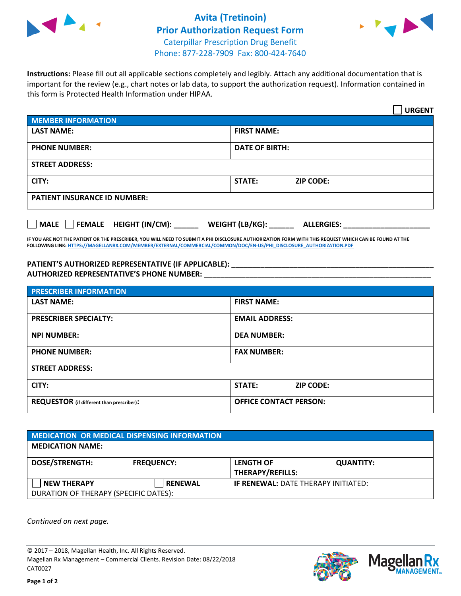

## **Avita (Tretinoin) Prior Authorization Request Form** Caterpillar Prescription Drug Benefit Phone: 877-228-7909 Fax: 800-424-7640



**Instructions:** Please fill out all applicable sections completely and legibly. Attach any additional documentation that is important for the review (e.g., chart notes or lab data, to support the authorization request). Information contained in this form is Protected Health Information under HIPAA.

|                                     | <b>URGENT</b>                        |  |  |  |
|-------------------------------------|--------------------------------------|--|--|--|
| <b>MEMBER INFORMATION</b>           |                                      |  |  |  |
| <b>LAST NAME:</b>                   | <b>FIRST NAME:</b>                   |  |  |  |
| <b>PHONE NUMBER:</b>                | <b>DATE OF BIRTH:</b>                |  |  |  |
| <b>STREET ADDRESS:</b>              |                                      |  |  |  |
| CITY:                               | <b>ZIP CODE:</b><br>STATE:           |  |  |  |
| <b>PATIENT INSURANCE ID NUMBER:</b> |                                      |  |  |  |
| FEMALE HEIGHT (IN/CM):<br>    MALE  | WEIGHT (LB/KG):<br><b>ALLERGIES:</b> |  |  |  |

**IF YOU ARE NOT THE PATIENT OR THE PRESCRIBER, YOU WILL NEED TO SUBMIT A PHI DISCLOSURE AUTHORIZATION FORM WITH THIS REQUEST WHICH CAN BE FOUND AT THE FOLLOWING LINK[: HTTPS://MAGELLANRX.COM/MEMBER/EXTERNAL/COMMERCIAL/COMMON/DOC/EN-US/PHI\\_DISCLOSURE\\_AUTHORIZATION.PDF](https://magellanrx.com/member/external/commercial/common/doc/en-us/PHI_Disclosure_Authorization.pdf)**

**PATIENT'S AUTHORIZED REPRESENTATIVE (IF APPLICABLE): \_\_\_\_\_\_\_\_\_\_\_\_\_\_\_\_\_\_\_\_\_\_\_\_\_\_\_\_\_\_\_\_\_\_\_\_\_\_\_\_\_\_\_\_\_\_\_\_\_ AUTHORIZED REPRESENTATIVE'S PHONE NUMBER:** \_\_\_\_\_\_\_\_\_\_\_\_\_\_\_\_\_\_\_\_\_\_\_\_\_\_\_\_\_\_\_\_\_\_\_\_\_\_\_\_\_\_\_\_\_\_\_\_\_\_\_\_\_\_\_

| <b>PRESCRIBER INFORMATION</b>             |                               |  |  |
|-------------------------------------------|-------------------------------|--|--|
| <b>LAST NAME:</b>                         | <b>FIRST NAME:</b>            |  |  |
| <b>PRESCRIBER SPECIALTY:</b>              | <b>EMAIL ADDRESS:</b>         |  |  |
| <b>NPI NUMBER:</b>                        | <b>DEA NUMBER:</b>            |  |  |
| <b>PHONE NUMBER:</b>                      | <b>FAX NUMBER:</b>            |  |  |
| <b>STREET ADDRESS:</b>                    |                               |  |  |
| CITY:                                     | STATE:<br><b>ZIP CODE:</b>    |  |  |
| REQUESTOR (if different than prescriber): | <b>OFFICE CONTACT PERSON:</b> |  |  |

| <b>MEDICATION OR MEDICAL DISPENSING INFORMATION</b> |                   |                                             |                  |  |  |
|-----------------------------------------------------|-------------------|---------------------------------------------|------------------|--|--|
| <b>MEDICATION NAME:</b>                             |                   |                                             |                  |  |  |
| <b>DOSE/STRENGTH:</b>                               | <b>FREQUENCY:</b> | <b>LENGTH OF</b><br><b>THERAPY/REFILLS:</b> | <b>QUANTITY:</b> |  |  |
| <b>NEW THERAPY</b>                                  | <b>RENEWAL</b>    | <b>IF RENEWAL: DATE THERAPY INITIATED:</b>  |                  |  |  |
| DURATION OF THERAPY (SPECIFIC DATES):               |                   |                                             |                  |  |  |

*Continued on next page.*

© 2017 – 2018, Magellan Health, Inc. All Rights Reserved. Magellan Rx Management – Commercial Clients. Revision Date: 08/22/2018 CAT0027